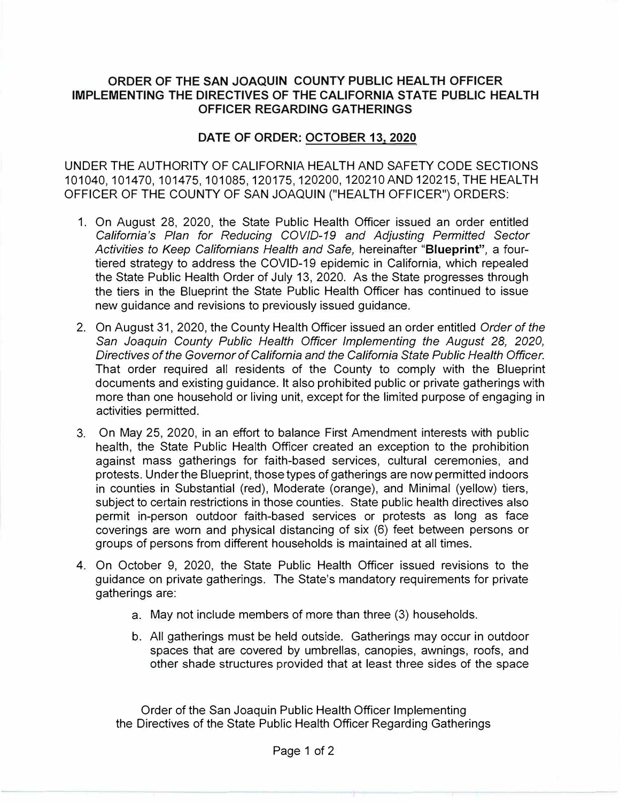## **ORDER OF THE SAN JOAQUIN COUNTY PUBLIC HEAL TH OFFICER IMPLEMENTING THE DIRECTIVES OF THE CALIFORNIA STATE PUBLIC HEALTH OFFICER REGARDING GATHERINGS**

## **DATE OF ORDER: OCTOBER 13, 2020**

UNDER THE AUTHORITY OF CALIFORNIA HEAL TH AND SAFETY CODE SECTIONS 101040, 101470, 101475, 101085, 120175, 120200, 120210 AND 120215, THE HEALTH OFFICER OF THE COUNTY OF SAN JOAQUIN ("HEALTH OFFICER") ORDERS:

- 1. On August 28, 2020, the State Public Health Officer issued an order entitled *California's Plan for Reducing COVIO-19 and Adjusting Permitted Sector Activities to Keep Californians Health and Safe,* hereinafter **"Blueprint",** a fourtiered strategy to address the COVID-19 epidemic in California, which repealed the State Public Health Order of July 13, 2020. As the State progresses through the tiers in the Blueprint the State Public Health Officer has continued to issue new guidance and revisions to previously issued guidance.
- 2. On August 31, 2020, the County Health Officer issued an order entitled *Order of the* San Joaquin County Public Health Officer Implementing the August 28, 2020, *Directives of the Governor of California and the California State Public Health Officer.* That order required all residents of the County to comply with the Blueprint documents and existing guidance. It also prohibited public or private gatherings with more than one household or living unit, except for the limited purpose of engaging in activities permitted.
- 3. On May 25, 2020, in an effort to balance First Amendment interests with public health, the State Public Health Officer created an exception to the prohibition against mass gatherings for faith-based services, cultural ceremonies, and protests. Under the Blueprint, those types of gatherings are now permitted indoors in counties in Substantial (red), Moderate (orange), and Minimal (yellow) tiers, subject to certain restrictions in those counties. State public health directives also permit in-person outdoor faith-based services or protests as long as face coverings are worn and physical distancing of six (6) feet between persons or groups of persons from different households is maintained at all times.
- 4. On October 9, 2020, the State Public Health Officer issued revisions to the guidance on private gatherings. The State's mandatory requirements for private gatherings are:
	- a. May not include members of more than three (3) households.
	- b. All gatherings must be held outside. Gatherings may occur in outdoor spaces that are covered by umbrellas, canopies, awnings, roofs, and other shade structures provided that at least three sides of the space

Order of the San Joaquin Public Health Officer Implementing the Directives of the State Public Health Officer Regarding Gatherings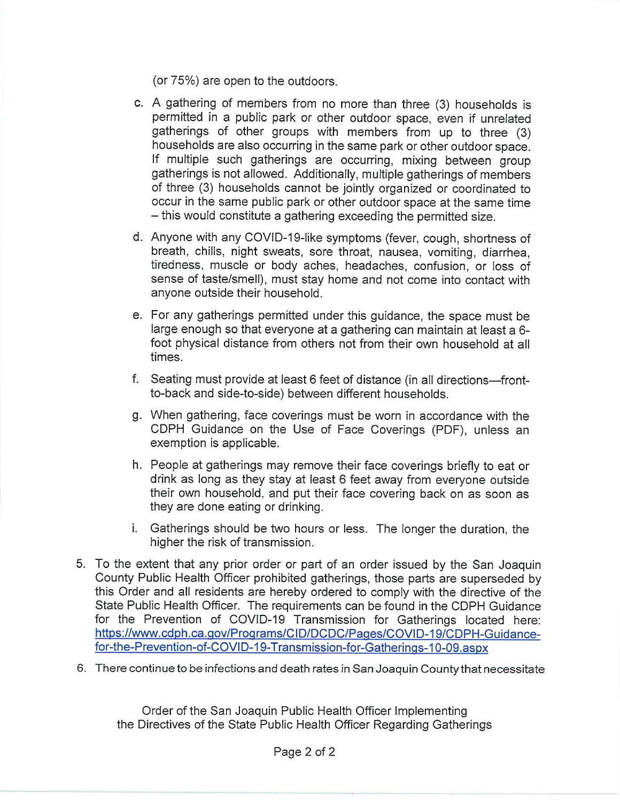(or 75%) are open to the outdoors.

- c. A gathering of members from no more than three (3) households is permitted in a public park or other outdoor space, even if unrelated gatherings of other groups with members from up to three (3) households are also occurring in the same park or other outdoor space. If multiple such gatherings are occurring, mixing between group gatherings is not allowed. Additionally, multiple gatherings of members of three (3) households cannot be jointly organized or coordinated to occur in the same public park or other outdoor space at the same time - this would constitute a gathering exceeding the permitted size.
- d. Anvone with any COVID-19-like symptoms (fever, cough, shortness of breath, chills, night sweats, sore throat, nausea, vomiting, diarrhea, tiredness, muscle or body aches, headaches, confusion, or loss of sense of taste/smell), must stay home and not come into contact with anyone outside their household.
- e. For any gatherings permitted under this guidance, the space must be large enough so that everyone at a gathering can maintain at least a 6foot physical distance from others not from their own household at all times.
- f. Seating must provide at least 6 feet of distance (in all directions—frontto-back and side-to-side) between different households.
- g. When gathering, face coverings must be worn in accordance with the CDPH Guidance on the Use of Face Coverings (PDF), unless an exemption is applicable.
- h. People at gatherings may remove their face coverings briefly to eat or drink as long as they stay at least 6 feet away from everyone outside their own household, and put their face covering back on as soon as they are done eating or drinking.
- i. Gatherings should be two hours or less. The longer the duration, the higher the risk of transmission.
- 5. To the extent that any prior order or part of an order issued by the San Joaquin County Public Health Officer prohibited gatherings, those parts are superseded by this Order and all residents are hereby ordered to comply with the directive of the State Public Health Officer. The requirements can be found in the CDPH Guidance for the Prevention of COVID-19 Transmission for Gatherings located here: https://www.cdph.ca.gov/Programs/CID/DCDC/Pages/COVID-19/CDPH-Guidancefor-the-Prevention-of-COVID-19-Transmission-for-Gatherings-10-09.aspx
- 6. There continue to be infections and death rates in San Joaquin County that necessitate

Order of the San Joaquin Public Health Officer Implementing the Directives of the State Public Health Officer Regarding Gatherings